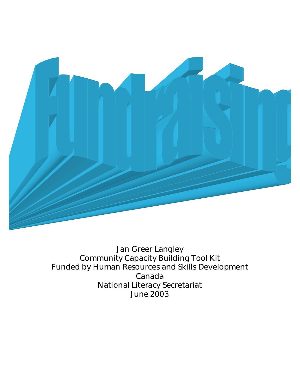

Jan Greer Langley Community Capacity Building Tool Kit Funded by Human Resources and Skills Development Canada National Literacy Secretariat June 2003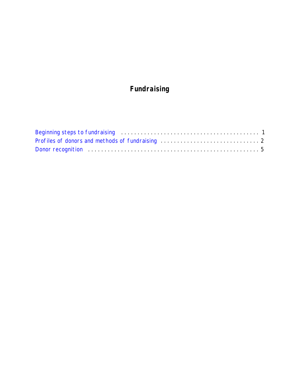# **Fundraising**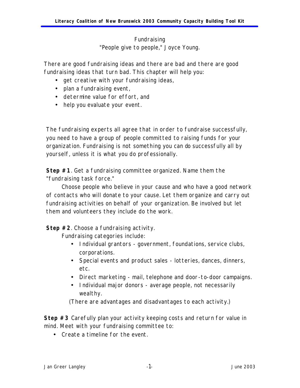# Fundraising *"People give to people," Joyce Young.*

<span id="page-2-0"></span>There are good fundraising ideas and there are bad and there are good fundraising ideas that turn bad. This chapter will help you:

- get creative with your fundraising ideas,
- plan a fundraising event,
- determine value for effort, and
- help you evaluate your event.

The fundraising experts all agree that in order to fundraise successfully, you need to have a group of people committed to raising funds for your organization. Fundraising is not something you can do successfully all by yourself, unless it is what you do professionally.

**Step #1**. Get a fundraising committee organized. Name them the "fundraising task force."

Choose people who believe in your cause and who have a good network of contacts who will donate to your cause. Let them organize and carry out fundraising activities on behalf of your organization. Be involved but let them and volunteers they include do the work.

**Step #2**. Choose a fundraising activity.

Fundraising categories include:

- Individual grantors government, foundations, service clubs, corporations.
- Special events and product sales lotteries, dances, dinners, etc.
- Direct marketing mail, telephone and door-to-door campaigns.
- Individual major donors average people, not necessarily wealthy.

(There are advantages and disadvantages to each activity.)

**Step #3** Carefully plan your activity keeping costs and return for value in mind. Meet with your fundraising committee to:

• Create a timeline for the event.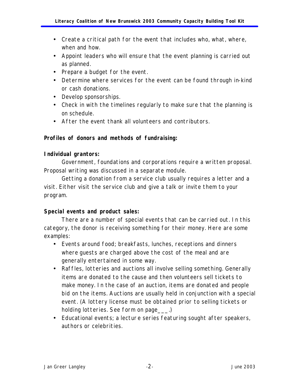- <span id="page-3-0"></span>• Create a critical path for the event that includes who, what, where, when and how.
- Appoint leaders who will ensure that the event planning is carried out as planned.
- Prepare a budget for the event.
- Determine where services for the event can be found through in-kind or cash donations.
- Develop sponsorships.
- Check in with the timelines regularly to make sure that the planning is on schedule.
- After the event thank all volunteers and contributors.

## **Profiles of donors and methods of fundraising:**

### **Individual grantors:**

Government, foundations and corporations require a written proposal. Proposal writing was discussed in a separate module.

Getting a donation from a service club usually requires a letter and a visit. Either visit the service club and give a talk or invite them to your program.

## **Special events and product sales:**

There are a number of special events that can be carried out. In this category, the donor is receiving something for their money. Here are some examples:

- Events around food; breakfasts, lunches, receptions and dinners where guests are charged above the cost of the meal and are generally entertained in some way.
- Raffles, lotteries and auctions all involve selling something. Generally items are donated to the cause and then volunteers sell tickets to make money. In the case of an auction, items are donated and people bid on the items. Auctions are usually held in conjunction with a special event. (A lottery license must be obtained prior to selling tickets or holding lotteries. See form on page ...)
- Educational events; a lecture series featuring sought after speakers, authors or celebrities.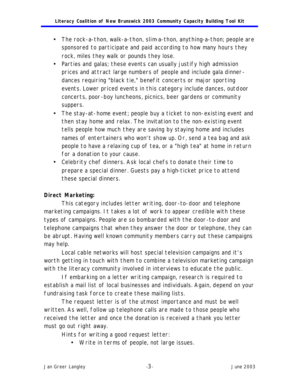- The rock-a-thon, walk-a-thon, slim-a-thon, anything-a-thon; people are sponsored to participate and paid according to how many hours they rock, miles they walk or pounds they lose.
- Parties and galas; these events can usually justify high admission prices and attract large numbers of people and include gala dinnerdances requiring "black tie," benefit concerts or major sporting events. Lower priced events in this category include dances, outdoor concerts, poor-boy luncheons, picnics, beer gardens or community suppers.
- The stay-at-home event; people buy a ticket to non-existing event and then stay home and relax. The invitation to the non-existing event tells people how much they are saving by staying home and includes names of entertainers who won't show up. Or, send a tea bag and ask people to have a relaxing cup of tea, or a "high tea" at home in return for a donation to your cause.
- Celebrity chef dinners. Ask local chefs to donate their time to prepare a special dinner. Guests pay a high-ticket price to attend these special dinners.

# **Direct Marketing:**

This category includes letter writing, door-to-door and telephone marketing campaigns. It takes a lot of work to appear credible with these types of campaigns. People are so bombarded with the door-to-door and telephone campaigns that when they answer the door or telephone, they can be abrupt. Having well known community members carry out these campaigns may help.

Local cable networks will host special television campaigns and it's worth getting in touch with them to combine a television marketing campaign with the literacy community involved in interviews to educate the public.

If embarking on a letter writing campaign, research is required to establish a mail list of local businesses and individuals. Again, depend on your fundraising task force to create these mailing lists.

The request letter is of the utmost importance and must be well written. As well, follow up telephone calls are made to those people who received the letter and once the donation is received a thank you letter must go out right away.

Hints for writing a good request letter:

• Write in terms of people, not large issues.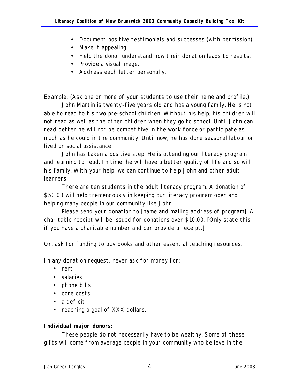- Document positive testimonials and successes (with permission).
- Make it appealing.
- Help the donor understand how their donation leads to results.
- Provide a visual image.
- Address each letter personally.

Example: (Ask one or more of your students to use their name and profile.)

John Martin is twenty-five years old and has a young family. He is not able to read to his two pre-school children. Without his help, his children will not read as well as the other children when they go to school. Until John can read better he will not be competitive in the work force or participate as much as he could in the community. Until now, he has done seasonal labour or lived on social assistance.

John has taken a positive step. He is attending our literacy program and learning to read. In time, he will have a better quality of life and so will his family. With your help, we can continue to help John and other adult learners.

There are ten students in the adult literacy program. A donation of \$50.00 will help tremendously in keeping our literacy program open and helping many people in our community like John.

Please send your donation to [name and mailing address of program]. A charitable receipt will be issued for donations over \$10.00. [Only state this if you have a charitable number and can provide a receipt.]

Or, ask for funding to buy books and other essential teaching resources.

In any donation request, never ask for money for:

- rent
- salaries
- phone bills
- core costs
- a deficit
- reaching a goal of XXX dollars.

#### **Individual major donors:**

These people do not necessarily have to be wealthy. Some of these gifts will come from average people in your community who believe in the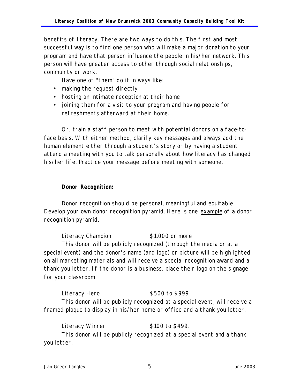<span id="page-6-0"></span>benefits of literacy. There are two ways to do this. The first and most successful way is to find one person who will make a major donation to your program and have that person influence the people in his/her network. This person will have greater access to other through social relationships, community or work.

Have one of "them" do it in ways like:

- making the request directly
- hosting an intimate reception at their home
- joining them for a visit to your program and having people for refreshments afterward at their home.

Or, train a staff person to meet with potential donors on a face-toface basis. With either method, clarify key messages and always add the human element either through a student's story or by having a student attend a meeting with you to talk personally about how literacy has changed his/her life. Practice your message before meeting with someone.

### **Donor Recognition:**

Donor recognition should be personal, meaningful and equitable. Develop your own donor recognition pyramid. Here is one example of a donor recognition pyramid.

Literacy Champion \$1,000 or more This donor will be publicly recognized (through the media or at a special event) and the donor's name (and logo) or picture will be highlighted on all marketing materials and will receive a special recognition award and a thank you letter. If the donor is a business, place their logo on the signage for your classroom.

Literacy Hero  $$500$  to \$999 This donor will be publicly recognized at a special event, will receive a framed plaque to display in his/her home or office and a thank you letter.

Literacy Winner  $$100$  to \$499. This donor will be publicly recognized at a special event and a thank you letter.